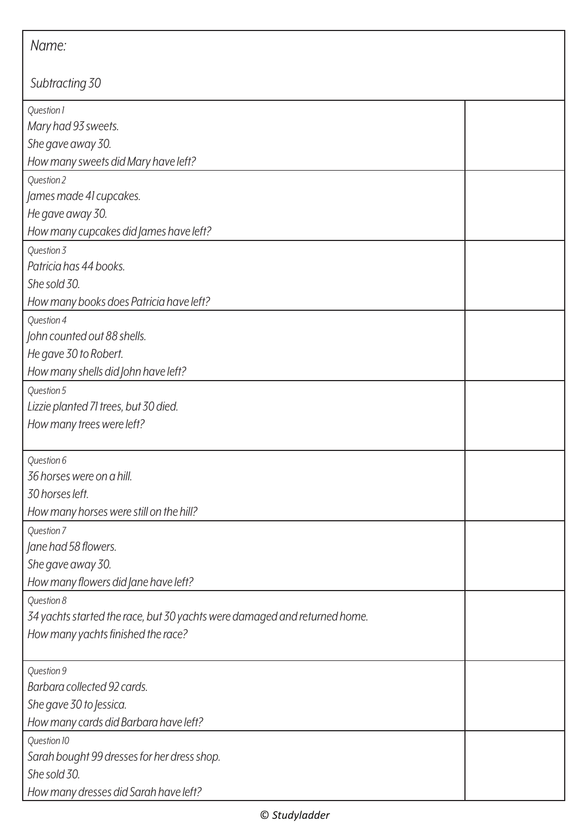| Name:                                                                     |  |  |
|---------------------------------------------------------------------------|--|--|
| Subtracting 30                                                            |  |  |
| Question 1                                                                |  |  |
| Mary had 93 sweets.                                                       |  |  |
| She gave away 30.                                                         |  |  |
| How many sweets did Mary have left?                                       |  |  |
| Question 2                                                                |  |  |
| James made 41 cupcakes.                                                   |  |  |
| He gave away 30.                                                          |  |  |
| How many cupcakes did James have left?                                    |  |  |
| Question 3                                                                |  |  |
| Patricia has 44 books.                                                    |  |  |
| She sold 30.                                                              |  |  |
| How many books does Patricia have left?                                   |  |  |
| Question 4                                                                |  |  |
| John counted out 88 shells.                                               |  |  |
| He gave 30 to Robert.                                                     |  |  |
| How many shells did John have left?                                       |  |  |
| Question 5                                                                |  |  |
| Lizzie planted 71 trees, but 30 died.                                     |  |  |
| How many trees were left?                                                 |  |  |
| Question 6                                                                |  |  |
| 36 horses were on a hill.                                                 |  |  |
| 30 horses left.                                                           |  |  |
| How many horses were still on the hill?                                   |  |  |
| Question 7                                                                |  |  |
| Jane had 58 flowers.                                                      |  |  |
| She gave away 30.                                                         |  |  |
| How many flowers did Jane have left?                                      |  |  |
| Question 8                                                                |  |  |
| 34 yachts started the race, but 30 yachts were damaged and returned home. |  |  |
| How many yachts finished the race?                                        |  |  |
| Question 9                                                                |  |  |
| Barbara collected 92 cards.                                               |  |  |
| She gave 30 to Jessica.                                                   |  |  |
| How many cards did Barbara have left?                                     |  |  |
| Question 10                                                               |  |  |
| Sarah bought 99 dresses for her dress shop.                               |  |  |
| She sold 30.                                                              |  |  |
| How many dresses did Sarah have left?                                     |  |  |